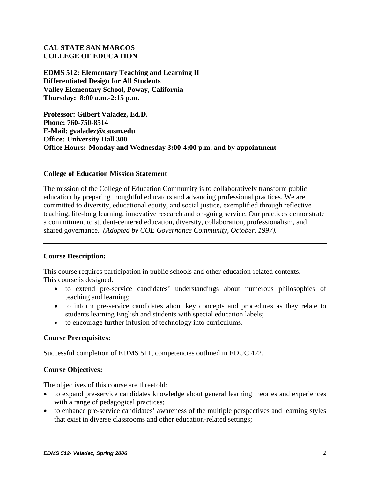# **CAL STATE SAN MARCOS COLLEGE OF EDUCATION**

**EDMS 512: Elementary Teaching and Learning II Differentiated Design for All Students Valley Elementary School, Poway, California Thursday: 8:00 a.m.-2:15 p.m.** 

**Professor: Gilbert Valadez, Ed.D. Phone: 760-750-8514 E-Mail: gvaladez@csusm.edu Office: University Hall 300 Office Hours: Monday and Wednesday 3:00-4:00 p.m. and by appointment** 

#### **College of Education Mission Statement**

The mission of the College of Education Community is to collaboratively transform public education by preparing thoughtful educators and advancing professional practices. We are committed to diversity, educational equity, and social justice, exemplified through reflective teaching, life-long learning, innovative research and on-going service. Our practices demonstrate a commitment to student-centered education, diversity, collaboration, professionalism, and shared governance. *(Adopted by COE Governance Community, October, 1997).* 

# **Course Description:**

This course requires participation in public schools and other education-related contexts. This course is designed:

- to extend pre-service candidates' understandings about numerous philosophies of teaching and learning;
- to inform pre-service candidates about key concepts and procedures as they relate to students learning English and students with special education labels;
- to encourage further infusion of technology into curriculums.

# **Course Prerequisites:**

Successful completion of EDMS 511, competencies outlined in EDUC 422.

# **Course Objectives:**

The objectives of this course are threefold:

- to expand pre-service candidates knowledge about general learning theories and experiences with a range of pedagogical practices;
- to enhance pre-service candidates' awareness of the multiple perspectives and learning styles that exist in diverse classrooms and other education-related settings;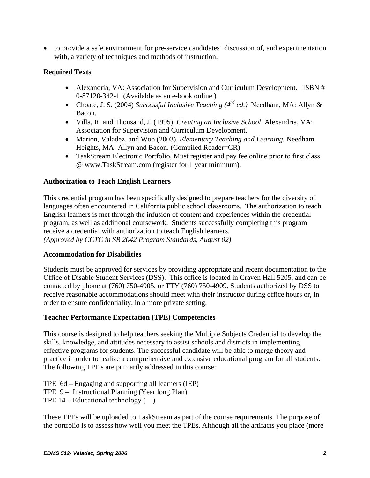• to provide a safe environment for pre-service candidates' discussion of, and experimentation with, a variety of techniques and methods of instruction.

# **Required Texts**

- Alexandria, VA: Association for Supervision and Curriculum Development. ISBN # 0-87120-342-1 (Available as an e-book online.)
- Choate, J. S. (2004) *Successful Inclusive Teaching (4rd ed.)* Needham, MA: Allyn & Bacon.
- Villa, R. and Thousand, J. (1995). *Creating an Inclusive School*. Alexandria, VA: Association for Supervision and Curriculum Development.
- Marion, Valadez, and Woo (2003). *Elementary Teaching and Learning.* Needham Heights, MA: Allyn and Bacon. (Compiled Reader=CR)
- TaskStream Electronic Portfolio, Must register and pay fee online prior to first class @ www.TaskStream.com (register for 1 year minimum).

# **Authorization to Teach English Learners**

This credential program has been specifically designed to prepare teachers for the diversity of languages often encountered in California public school classrooms. The authorization to teach English learners is met through the infusion of content and experiences within the credential program, as well as additional coursework. Students successfully completing this program receive a credential with authorization to teach English learners. *(Approved by CCTC in SB 2042 Program Standards, August 02)*

# **Accommodation for Disabilities**

Students must be approved for services by providing appropriate and recent documentation to the Office of Disable Student Services (DSS). This office is located in Craven Hall 5205, and can be contacted by phone at (760) 750-4905, or TTY (760) 750-4909. Students authorized by DSS to receive reasonable accommodations should meet with their instructor during office hours or, in order to ensure confidentiality, in a more private setting.

# **Teacher Performance Expectation (TPE) Competencies**

This course is designed to help teachers seeking the Multiple Subjects Credential to develop the skills, knowledge, and attitudes necessary to assist schools and districts in implementing effective programs for students. The successful candidate will be able to merge theory and practice in order to realize a comprehensive and extensive educational program for all students. The following TPE's are primarily addressed in this course:

TPE 6d – Engaging and supporting all learners (IEP) TPE 9 – Instructional Planning (Year long Plan) TPE  $14$  – Educational technology ( $\)$ 

These TPEs will be uploaded to TaskStream as part of the course requirements. The purpose of the portfolio is to assess how well you meet the TPEs. Although all the artifacts you place (more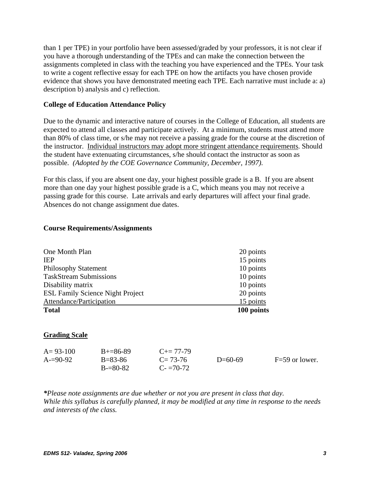than 1 per TPE) in your portfolio have been assessed/graded by your professors, it is not clear if you have a thorough understanding of the TPEs and can make the connection between the assignments completed in class with the teaching you have experienced and the TPEs. Your task to write a cogent reflective essay for each TPE on how the artifacts you have chosen provide evidence that shows you have demonstrated meeting each TPE. Each narrative must include a: a) description b) analysis and c) reflection.

#### **College of Education Attendance Policy**

Due to the dynamic and interactive nature of courses in the College of Education, all students are expected to attend all classes and participate actively. At a minimum, students must attend more than 80% of class time, or s/he may not receive a passing grade for the course at the discretion of the instructor. Individual instructors may adopt more stringent attendance requirements. Should the student have extenuating circumstances, s/he should contact the instructor as soon as possible. *(Adopted by the COE Governance Community, December, 1997).*

For this class, if you are absent one day, your highest possible grade is a B. If you are absent more than one day your highest possible grade is a C, which means you may not receive a passing grade for this course. Late arrivals and early departures will affect your final grade. Absences do not change assignment due dates.

| <b>Total</b>                            | 100 points |
|-----------------------------------------|------------|
| Attendance/Participation                | 15 points  |
| <b>ESL Family Science Night Project</b> | 20 points  |
| Disability matrix                       | 10 points  |
| <b>TaskStream Submissions</b>           | 10 points  |
| <b>Philosophy Statement</b>             | 10 points  |
| <b>IEP</b>                              | 15 points  |
| One Month Plan                          | 20 points  |

#### **Course Requirements/Assignments**

#### **Grading Scale**

| $A = 93 - 100$ | $B + = 86 - 89$ | $C_{\pm} = 77 - 79$ |           |                  |
|----------------|-----------------|---------------------|-----------|------------------|
| $A=90-92$      | $B = 83 - 86$   | $C = 73-76$         | $D=60-69$ | $F=59$ or lower. |
|                | $B = 80-82$     | $C = 70-72$         |           |                  |

*\*Please note assignments are due whether or not you are present in class that day. While this syllabus is carefully planned, it may be modified at any time in response to the needs and interests of the class.*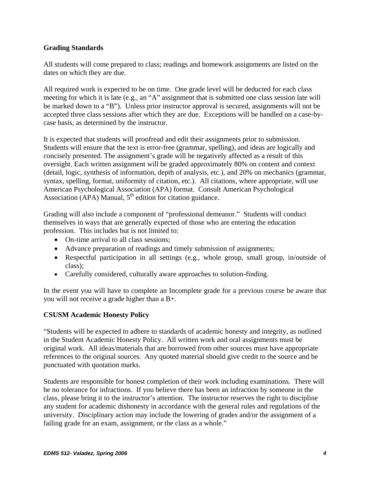# **Grading Standards**

All students will come prepared to class; readings and homework assignments are listed on the dates on which they are due.

All required work is expected to be on time. One grade level will be deducted for each class meeting for which it is late (e.g., an "A" assignment that is submitted one class session late will be marked down to a "B"). Unless prior instructor approval is secured, assignments will not be accepted three class sessions after which they are due. Exceptions will be handled on a case-bycase basis, as determined by the instructor.

It is expected that students will proofread and edit their assignments prior to submission. Students will ensure that the text is error-free (grammar, spelling), and ideas are logically and concisely presented. The assignment's grade will be negatively affected as a result of this oversight. Each written assignment will be graded approximately 80% on content and context (detail, logic, synthesis of information, depth of analysis, etc.), and 20% on mechanics (grammar, syntax, spelling, format, uniformity of citation, etc.). All citations, where appropriate, will use American Psychological Association (APA) format. Consult American Psychological Association (APA) Manual,  $5<sup>th</sup>$  edition for citation guidance.

Grading will also include a component of "professional demeanor." Students will conduct themselves in ways that are generally expected of those who are entering the education profession. This includes but is not limited to:

- On-time arrival to all class sessions;
- Advance preparation of readings and timely submission of assignments;
- Respectful participation in all settings (e.g., whole group, small group, in/outside of class);
- Carefully considered, culturally aware approaches to solution-finding.

In the event you will have to complete an Incomplete grade for a previous course be aware that you will not receive a grade higher than a B+.

# **CSUSM Academic Honesty Policy**

"Students will be expected to adhere to standards of academic honesty and integrity, as outlined in the Student Academic Honesty Policy. All written work and oral assignments must be original work. All ideas/materials that are borrowed from other sources must have appropriate references to the original sources. Any quoted material should give credit to the source and be punctuated with quotation marks.

Students are responsible for honest completion of their work including examinations. There will be no tolerance for infractions. If you believe there has been an infraction by someone in the class, please bring it to the instructor's attention. The instructor reserves the right to discipline any student for academic dishonesty in accordance with the general rules and regulations of the university. Disciplinary action may include the lowering of grades and/or the assignment of a failing grade for an exam, assignment, or the class as a whole."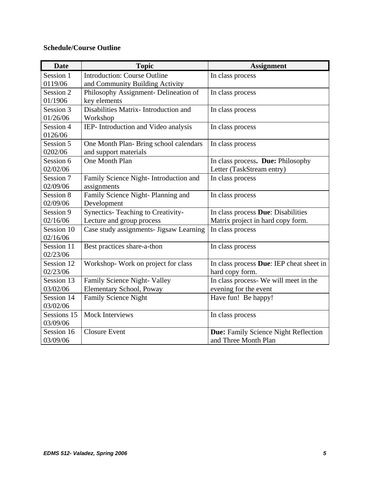# **Schedule/Course Outline**

| <b>Date</b> | <b>Topic</b>                            | <b>Assignment</b>                        |
|-------------|-----------------------------------------|------------------------------------------|
| Session 1   | <b>Introduction: Course Outline</b>     | In class process                         |
| 0119/06     | and Community Building Activity         |                                          |
| Session 2   | Philosophy Assignment- Delineation of   | In class process                         |
| 01/1906     | key elements                            |                                          |
| Session 3   | Disabilities Matrix- Introduction and   | In class process                         |
| 01/26/06    | Workshop                                |                                          |
| Session 4   | IEP- Introduction and Video analysis    | In class process                         |
| 0126/06     |                                         |                                          |
| Session 5   | One Month Plan-Bring school calendars   | In class process                         |
| 0202/06     | and support materials                   |                                          |
| Session 6   | One Month Plan                          | In class process. Due: Philosophy        |
| 02/02/06    |                                         | Letter (TaskStream entry)                |
| Session 7   | Family Science Night- Introduction and  | In class process                         |
| 02/09/06    | assignments                             |                                          |
| Session 8   | Family Science Night-Planning and       | In class process                         |
| 02/09/06    | Development                             |                                          |
| Session 9   | Synectics- Teaching to Creativity-      | In class process Due: Disabilities       |
| 02/16/06    | Lecture and group process               | Matrix project in hard copy form.        |
| Session 10  | Case study assignments- Jigsaw Learning | In class process                         |
| 02/16/06    |                                         |                                          |
| Session 11  | Best practices share-a-thon             | In class process                         |
| 02/23/06    |                                         |                                          |
| Session 12  | Workshop-Work on project for class      | In class process Due: IEP cheat sheet in |
| 02/23/06    |                                         | hard copy form.                          |
| Session 13  | Family Science Night- Valley            | In class process- We will meet in the    |
| 03/02/06    | Elementary School, Poway                | evening for the event                    |
| Session 14  | <b>Family Science Night</b>             | Have fun! Be happy!                      |
| 03/02/06    |                                         |                                          |
| Sessions 15 | <b>Mock Interviews</b>                  | In class process                         |
| 03/09/06    |                                         |                                          |
| Session 16  | <b>Closure Event</b>                    | Due: Family Science Night Reflection     |
| 03/09/06    |                                         | and Three Month Plan                     |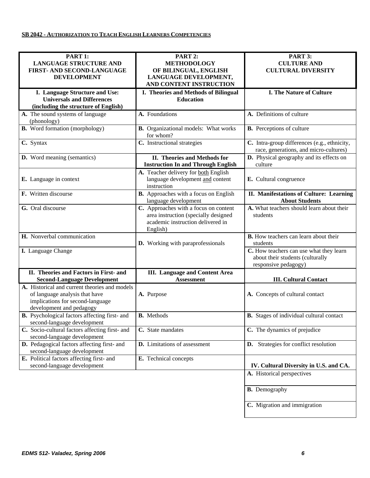| PART 1:<br><b>LANGUAGE STRUCTURE AND</b><br>FIRST- AND SECOND-LANGUAGE                                                                          | PART 2:<br><b>METHODOLOGY</b><br>OF BILINGUAL, ENGLISH                                                                         | PART 3:<br><b>CULTURE AND</b><br><b>CULTURAL DIVERSITY</b>                                          |
|-------------------------------------------------------------------------------------------------------------------------------------------------|--------------------------------------------------------------------------------------------------------------------------------|-----------------------------------------------------------------------------------------------------|
| <b>DEVELOPMENT</b>                                                                                                                              | LANGUAGE DEVELOPMENT,<br>AND CONTENT INSTRUCTION                                                                               |                                                                                                     |
| I. Language Structure and Use:<br><b>Universals and Differences</b><br>(including the structure of English)                                     | I. Theories and Methods of Bilingual<br><b>Education</b>                                                                       | <b>I. The Nature of Culture</b>                                                                     |
| A. The sound systems of language<br>(phonology)                                                                                                 | A. Foundations                                                                                                                 | A. Definitions of culture                                                                           |
| <b>B.</b> Word formation (morphology)                                                                                                           | <b>B.</b> Organizational models: What works<br>for whom?                                                                       | <b>B.</b> Perceptions of culture                                                                    |
| C. Syntax                                                                                                                                       | C. Instructional strategies                                                                                                    | C. Intra-group differences (e.g., ethnicity,<br>race, generations, and micro-cultures)              |
| <b>D.</b> Word meaning (semantics)                                                                                                              | II. Theories and Methods for<br><b>Instruction In and Through English</b>                                                      | D. Physical geography and its effects on<br>culture                                                 |
| E. Language in context                                                                                                                          | A. Teacher delivery for both English<br>language development and content<br>instruction                                        | E. Cultural congruence                                                                              |
| F. Written discourse                                                                                                                            | <b>B.</b> Approaches with a focus on English<br>language development                                                           | II. Manifestations of Culture: Learning<br><b>About Students</b>                                    |
| G. Oral discourse                                                                                                                               | C. Approaches with a focus on content<br>area instruction (specially designed<br>academic instruction delivered in<br>English) | A. What teachers should learn about their<br>students                                               |
| H. Nonverbal communication                                                                                                                      | <b>D.</b> Working with paraprofessionals                                                                                       | <b>B.</b> How teachers can learn about their<br>students                                            |
| I. Language Change                                                                                                                              |                                                                                                                                | C. How teachers can use what they learn<br>about their students (culturally<br>responsive pedagogy) |
| II. Theories and Factors in First- and<br><b>Second-Language Development</b>                                                                    | <b>III.</b> Language and Content Area<br><b>Assessment</b>                                                                     | <b>III. Cultural Contact</b>                                                                        |
| A. Historical and current theories and models<br>of language analysis that have<br>implications for second-language<br>development and pedagogy | A. Purpose                                                                                                                     | A. Concepts of cultural contact                                                                     |
| B. Psychological factors affecting first- and<br>second-language development                                                                    | <b>B.</b> Methods                                                                                                              | <b>B.</b> Stages of individual cultural contact                                                     |
| C. Socio-cultural factors affecting first- and<br>second-language development                                                                   | C. State mandates                                                                                                              | C. The dynamics of prejudice                                                                        |
| D. Pedagogical factors affecting first- and<br>second-language development                                                                      | D. Limitations of assessment                                                                                                   | <b>D.</b> Strategies for conflict resolution                                                        |
| E. Political factors affecting first- and<br>second-language development                                                                        | <b>E.</b> Technical concepts                                                                                                   | IV. Cultural Diversity in U.S. and CA.                                                              |
|                                                                                                                                                 |                                                                                                                                | A. Historical perspectives                                                                          |
|                                                                                                                                                 |                                                                                                                                | <b>B.</b> Demography                                                                                |
|                                                                                                                                                 |                                                                                                                                | C. Migration and immigration                                                                        |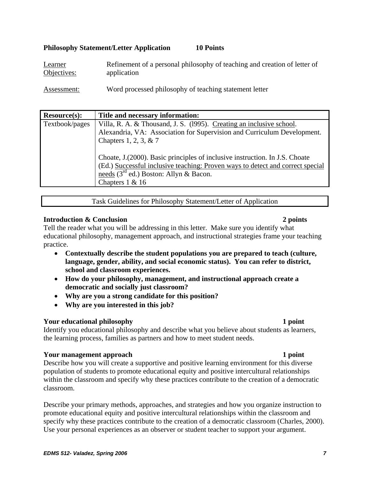# **Philosophy Statement/Letter Application 10 Points**

| Learner     | Refinement of a personal philosophy of teaching and creation of letter of |
|-------------|---------------------------------------------------------------------------|
| Objectives: | application                                                               |

Assessment: Word processed philosophy of teaching statement letter

| Resource(s):   | Title and necessary information:                                               |
|----------------|--------------------------------------------------------------------------------|
| Textbook/pages | Villa, R. A. & Thousand, J. S. (1995). Creating an inclusive school.           |
|                | Alexandria, VA: Association for Supervision and Curriculum Development.        |
|                | Chapters 1, 2, 3, $& 7$                                                        |
|                |                                                                                |
|                | Choate, J. (2000). Basic principles of inclusive instruction. In J.S. Choate   |
|                | (Ed.) Successful inclusive teaching: Proven ways to detect and correct special |
|                | needs $(3rd$ ed.) Boston: Allyn & Bacon.                                       |
|                | Chapters $1 & 16$                                                              |
|                |                                                                                |

Task Guidelines for Philosophy Statement/Letter of Application

# **Introduction & Conclusion 2 points** 2 points

Tell the reader what you will be addressing in this letter. Make sure you identify what educational philosophy, management approach, and instructional strategies frame your teaching practice.

- **Contextually describe the student populations you are prepared to teach (culture, language, gender, ability, and social economic status). You can refer to district, school and classroom experiences.**
- **How do your philosophy, management, and instructional approach create a democratic and socially just classroom?**
- **Why are you a strong candidate for this position?**
- **Why are you interested in this job?**

# **Your educational philosophy 1 point**

Identify you educational philosophy and describe what you believe about students as learners, the learning process, families as partners and how to meet student needs.

# **Your management approach 1 point 1 point 1 point 1 point**

Describe how you will create a supportive and positive learning environment for this diverse population of students to promote educational equity and positive intercultural relationships within the classroom and specify why these practices contribute to the creation of a democratic classroom.

Describe your primary methods, approaches, and strategies and how you organize instruction to promote educational equity and positive intercultural relationships within the classroom and specify why these practices contribute to the creation of a democratic classroom (Charles, 2000). Use your personal experiences as an observer or student teacher to support your argument.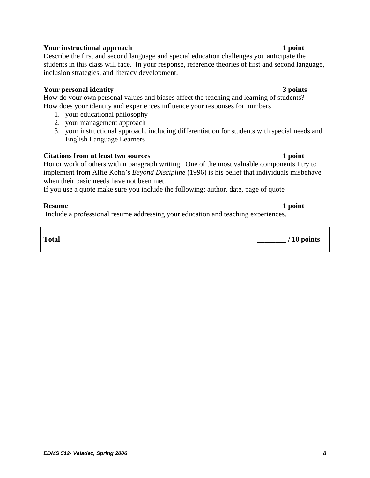# **Your instructional approach 1 point 1 point 1 point**

Describe the first and second language and special education challenges you anticipate the students in this class will face. In your response, reference theories of first and second language, inclusion strategies, and literacy development.

# **Your personal identity 3 points**

How do your own personal values and biases affect the teaching and learning of students? How does your identity and experiences influence your responses for numbers

- 1. your educational philosophy
- 2. your management approach
- 3. your instructional approach, including differentiation for students with special needs and English Language Learners

# **Citations from at least two sources** 1 point

Honor work of others within paragraph writing. One of the most valuable components I try to implement from Alfie Kohn's *Beyond Discipline* (1996) is his belief that individuals misbehave when their basic needs have not been met.

If you use a quote make sure you include the following: author, date, page of quote

# **Resume** 1 point

Include a professional resume addressing your education and teaching experiences.

**Total \_\_\_\_\_\_\_\_ / 10 points**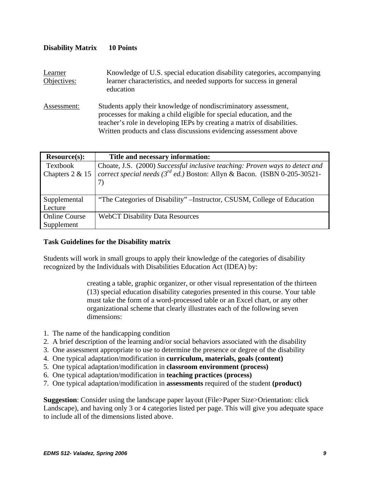| DISAUHILY IVIALITA     | TA TAMB                                                                                                                                                                                                                                                                                  |
|------------------------|------------------------------------------------------------------------------------------------------------------------------------------------------------------------------------------------------------------------------------------------------------------------------------------|
| Learner<br>Objectives: | Knowledge of U.S. special education disability categories, accompanying<br>learner characteristics, and needed supports for success in general<br>education                                                                                                                              |
| Assessment:            | Students apply their knowledge of nondiscriminatory assessment,<br>processes for making a child eligible for special education, and the<br>teacher's role in developing IEPs by creating a matrix of disabilities.<br>Written products and class discussions evidencing assessment above |

| <b>Resource(s):</b>  | Title and necessary information:                                                |
|----------------------|---------------------------------------------------------------------------------|
| Textbook             | Choate, J.S. (2000) Successful inclusive teaching: Proven ways to detect and    |
| Chapters $2 & 15$    | correct special needs ( $3^{rd}$ ed.) Boston: Allyn & Bacon. (ISBN 0-205-30521- |
|                      | 7)                                                                              |
|                      |                                                                                 |
| Supplemental         | "The Categories of Disability" – Instructor, CSUSM, College of Education        |
| Lecture              |                                                                                 |
| <b>Online Course</b> | <b>WebCT Disability Data Resources</b>                                          |
| Supplement           |                                                                                 |

# **Task Guidelines for the Disability matrix**

**Disability Matrix 10 Points** 

Students will work in small groups to apply their knowledge of the categories of disability recognized by the Individuals with Disabilities Education Act (IDEA) by:

> creating a table, graphic organizer, or other visual representation of the thirteen (13) special education disability categories presented in this course. Your table must take the form of a word-processed table or an Excel chart, or any other organizational scheme that clearly illustrates each of the following seven dimensions:

- 1. The name of the handicapping condition
- 2. A brief description of the learning and/or social behaviors associated with the disability
- 3. One assessment appropriate to use to determine the presence or degree of the disability
- 4. One typical adaptation/modification in **curriculum, materials, goals (content)**
- 5. One typical adaptation/modification in **classroom environment (process)**
- 6. One typical adaptation/modification in **teaching practices (process)**
- 7. One typical adaptation/modification in **assessments** required of the student **(product)**

**Suggestion**: Consider using the landscape paper layout (File>Paper Size>Orientation: click Landscape), and having only 3 or 4 categories listed per page. This will give you adequate space to include all of the dimensions listed above.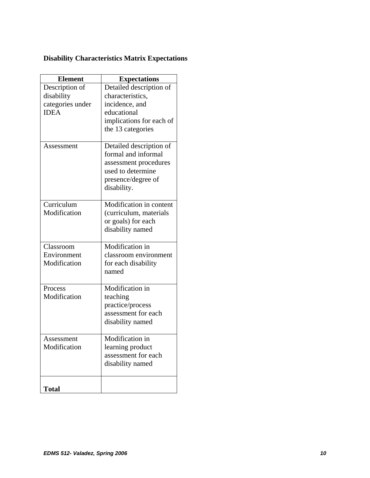# **Disability Characteristics Matrix Expectations**

| <b>Element</b>   | <b>Expectations</b>      |
|------------------|--------------------------|
| Description of   | Detailed description of  |
| disability       | characteristics,         |
| categories under | incidence, and           |
| <b>IDEA</b>      | educational              |
|                  | implications for each of |
|                  | the 13 categories        |
| Assessment       | Detailed description of  |
|                  | formal and informal      |
|                  | assessment procedures    |
|                  | used to determine        |
|                  | presence/degree of       |
|                  | disability.              |
| Curriculum       | Modification in content  |
| Modification     | (curriculum, materials   |
|                  | or goals) for each       |
|                  | disability named         |
|                  |                          |
| Classroom        | Modification in          |
| Environment      | classroom environment    |
| Modification     | for each disability      |
|                  | named                    |
| Process          | Modification in          |
| Modification     | teaching                 |
|                  | practice/process         |
|                  | assessment for each      |
|                  | disability named         |
| Assessment       | Modification in          |
| Modification     | learning product         |
|                  | assessment for each      |
|                  | disability named         |
|                  |                          |
| <b>Total</b>     |                          |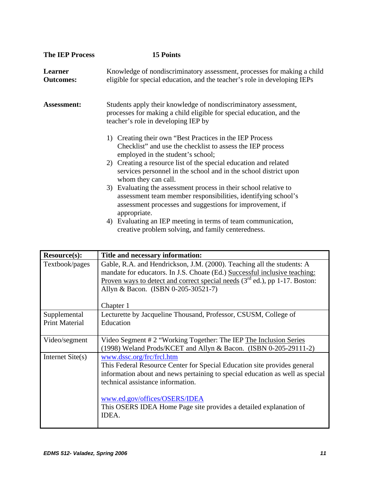| <b>The IEP Process</b>      | <b>15 Points</b>                                                                                                                                                                                              |  |
|-----------------------------|---------------------------------------------------------------------------------------------------------------------------------------------------------------------------------------------------------------|--|
| Learner<br><b>Outcomes:</b> | Knowledge of nondiscriminatory assessment, processes for making a child<br>eligible for special education, and the teacher's role in developing IEPs                                                          |  |
| <b>Assessment:</b>          | Students apply their knowledge of nondiscriminatory assessment,<br>processes for making a child eligible for special education, and the<br>teacher's role in developing IEP by                                |  |
|                             | 1) Creating their own "Best Practices in the IEP Process<br>Checklist" and use the checklist to assess the IEP process<br>employed in the student's school;                                                   |  |
|                             | 2) Creating a resource list of the special education and related<br>services personnel in the school and in the school district upon<br>whom they can call.                                                   |  |
|                             | 3) Evaluating the assessment process in their school relative to<br>assessment team member responsibilities, identifying school's<br>assessment processes and suggestions for improvement, if<br>appropriate. |  |
|                             | 4) Evaluating an IEP meeting in terms of team communication,<br>creative problem solving, and family centeredness.                                                                                            |  |

| <b>Resource(s):</b>   | Title and necessary information:                                                                                                                     |
|-----------------------|------------------------------------------------------------------------------------------------------------------------------------------------------|
| Textbook/pages        | Gable, R.A. and Hendrickson, J.M. (2000). Teaching all the students: A<br>mandate for educators. In J.S. Choate (Ed.) Successful inclusive teaching: |
|                       | <u>Proven ways to detect and correct special needs</u> $(3rd$ ed.), pp 1-17. Boston:                                                                 |
|                       | Allyn & Bacon. (ISBN 0-205-30521-7)                                                                                                                  |
|                       | Chapter 1                                                                                                                                            |
| Supplemental          | Lecturette by Jacqueline Thousand, Professor, CSUSM, College of                                                                                      |
| <b>Print Material</b> | Education                                                                                                                                            |
| Video/segment         | Video Segment # 2 "Working Together: The IEP The Inclusion Series                                                                                    |
|                       | (1998) Weland Prods/KCET and Allyn & Bacon. (ISBN 0-205-29111-2)                                                                                     |
| Internet $Site(s)$    | www.dssc.org/frc/frcl.htm                                                                                                                            |
|                       | This Federal Resource Center for Special Education site provides general                                                                             |
|                       | information about and news pertaining to special education as well as special                                                                        |
|                       | technical assistance information.                                                                                                                    |
|                       | www.ed.gov/offices/OSERS/IDEA                                                                                                                        |
|                       | This OSERS IDEA Home Page site provides a detailed explanation of                                                                                    |
|                       | IDEA.                                                                                                                                                |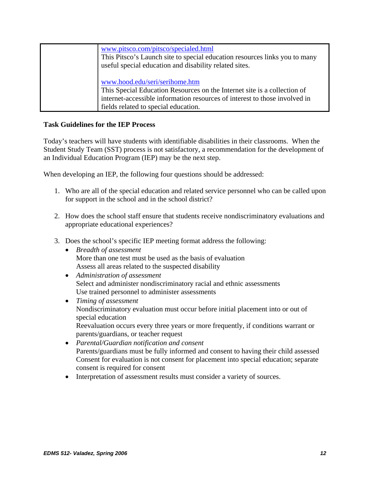| www.pitsco.com/pitsco/specialed.html<br>This Pitsco's Launch site to special education resources links you to many<br>useful special education and disability related sites.                                                     |
|----------------------------------------------------------------------------------------------------------------------------------------------------------------------------------------------------------------------------------|
| www.hood.edu/seri/serihome.htm<br>This Special Education Resources on the Internet site is a collection of<br>internet-accessible information resources of interest to those involved in<br>fields related to special education. |

# **Task Guidelines for the IEP Process**

Today's teachers will have students with identifiable disabilities in their classrooms. When the Student Study Team (SST) process is not satisfactory, a recommendation for the development of an Individual Education Program (IEP) may be the next step.

When developing an IEP, the following four questions should be addressed:

- 1. Who are all of the special education and related service personnel who can be called upon for support in the school and in the school district?
- 2. How does the school staff ensure that students receive nondiscriminatory evaluations and appropriate educational experiences?
- 3. Does the school's specific IEP meeting format address the following:
	- *Breadth of assessment*  More than one test must be used as the basis of evaluation Assess all areas related to the suspected disability
	- *Administration of assessment*  Select and administer nondiscriminatory racial and ethnic assessments Use trained personnel to administer assessments
	- *Timing of assessment*  Nondiscriminatory evaluation must occur before initial placement into or out of special education Reevaluation occurs every three years or more frequently, if conditions warrant or parents/guardians, or teacher request
	- *Parental/Guardian notification and consent*  Parents/guardians must be fully informed and consent to having their child assessed Consent for evaluation is not consent for placement into special education; separate consent is required for consent
	- Interpretation of assessment results must consider a variety of sources.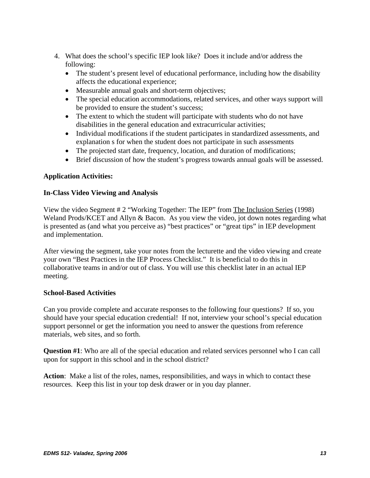- 4. What does the school's specific IEP look like? Does it include and/or address the following:
	- The student's present level of educational performance, including how the disability affects the educational experience;
	- Measurable annual goals and short-term objectives;
	- The special education accommodations, related services, and other ways support will be provided to ensure the student's success;
	- The extent to which the student will participate with students who do not have disabilities in the general education and extracurricular activities;
	- Individual modifications if the student participates in standardized assessments, and explanation s for when the student does not participate in such assessments
	- The projected start date, frequency, location, and duration of modifications;
	- Brief discussion of how the student's progress towards annual goals will be assessed.

# **Application Activities:**

# **In-Class Video Viewing and Analysis**

View the video Segment # 2 "Working Together: The IEP" from The Inclusion Series (1998) Weland Prods/KCET and Allyn & Bacon. As you view the video, jot down notes regarding what is presented as (and what you perceive as) "best practices" or "great tips" in IEP development and implementation.

After viewing the segment, take your notes from the lecturette and the video viewing and create your own "Best Practices in the IEP Process Checklist." It is beneficial to do this in collaborative teams in and/or out of class. You will use this checklist later in an actual IEP meeting.

# **School-Based Activities**

Can you provide complete and accurate responses to the following four questions? If so, you should have your special education credential! If not, interview your school's special education support personnel or get the information you need to answer the questions from reference materials, web sites, and so forth.

**Question #1**: Who are all of the special education and related services personnel who I can call upon for support in this school and in the school district?

**Action**: Make a list of the roles, names, responsibilities, and ways in which to contact these resources. Keep this list in your top desk drawer or in you day planner.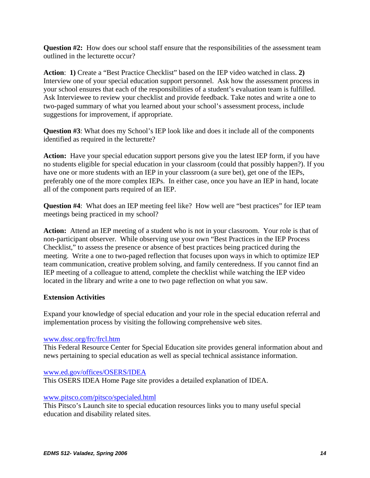**Question #2:** How does our school staff ensure that the responsibilities of the assessment team outlined in the lecturette occur?

**Action**: **1)** Create a "Best Practice Checklist" based on the IEP video watched in class. **2)** Interview one of your special education support personnel. Ask how the assessment process in your school ensures that each of the responsibilities of a student's evaluation team is fulfilled. Ask Interviewee to review your checklist and provide feedback. Take notes and write a one to two-paged summary of what you learned about your school's assessment process, include suggestions for improvement, if appropriate.

**Question #3**: What does my School's IEP look like and does it include all of the components identified as required in the lecturette?

**Action:** Have your special education support persons give you the latest IEP form, if you have no students eligible for special education in your classroom (could that possibly happen?). If you have one or more students with an IEP in your classroom (a sure bet), get one of the IEPs, preferably one of the more complex IEPs. In either case, once you have an IEP in hand, locate all of the component parts required of an IEP.

**Question #4**: What does an IEP meeting feel like? How well are "best practices" for IEP team meetings being practiced in my school?

**Action:** Attend an IEP meeting of a student who is not in your classroom. Your role is that of non-participant observer. While observing use your own "Best Practices in the IEP Process Checklist," to assess the presence or absence of best practices being practiced during the meeting. Write a one to two-paged reflection that focuses upon ways in which to optimize IEP team communication, creative problem solving, and family centeredness. If you cannot find an IEP meeting of a colleague to attend, complete the checklist while watching the IEP video located in the library and write a one to two page reflection on what you saw.

# **Extension Activities**

Expand your knowledge of special education and your role in the special education referral and implementation process by visiting the following comprehensive web sites.

# www.dssc.org/frc/frcl.htm

This Federal Resource Center for Special Education site provides general information about and news pertaining to special education as well as special technical assistance information.

#### www.ed.gov/offices/OSERS/IDEA

This OSERS IDEA Home Page site provides a detailed explanation of IDEA.

#### www.pitsco.com/pitsco/specialed.html

This Pitsco's Launch site to special education resources links you to many useful special education and disability related sites.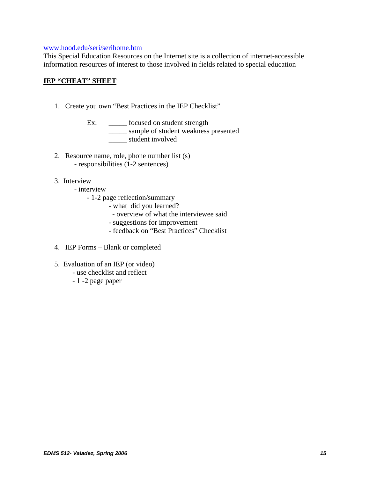#### www.hood.edu/seri/serihome.htm

This Special Education Resources on the Internet site is a collection of internet-accessible information resources of interest to those involved in fields related to special education

# **IEP "CHEAT" SHEET**

- 1. Create you own "Best Practices in the IEP Checklist"
	- Ex: \_\_\_\_\_\_\_ focused on student strength \_\_\_\_\_ sample of student weakness presented \_\_\_\_\_ student involved
- 2. Resource name, role, phone number list (s) - responsibilities (1-2 sentences)
- 3. Interview
	- interview
		- 1-2 page reflection/summary
			- what did you learned?
				- overview of what the interviewee said
			- suggestions for improvement
			- feedback on "Best Practices" Checklist
- 4. IEP Forms Blank or completed
- 5. Evaluation of an IEP (or video)
	- use checklist and reflect
	- 1 -2 page paper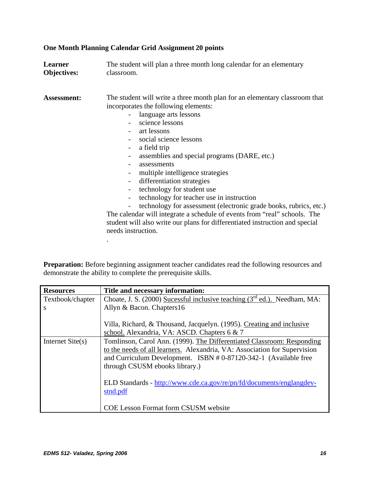| classroom.                                                                                                                                                                                                                                                                                                                                                                                                                                                                                                                                                                                                                                                                                    |
|-----------------------------------------------------------------------------------------------------------------------------------------------------------------------------------------------------------------------------------------------------------------------------------------------------------------------------------------------------------------------------------------------------------------------------------------------------------------------------------------------------------------------------------------------------------------------------------------------------------------------------------------------------------------------------------------------|
| The student will write a three month plan for an elementary classroom that<br>incorporates the following elements:<br>- language arts lessons<br>science lessons<br>art lessons<br>social science lessons<br>a field trip<br>assemblies and special programs (DARE, etc.)<br>assessments<br>multiple intelligence strategies<br>differentiation strategies<br>technology for student use<br>technology for teacher use in instruction<br>technology for assessment (electronic grade books, rubrics, etc.)<br>The calendar will integrate a schedule of events from "real" schools. The<br>student will also write our plans for differentiated instruction and special<br>needs instruction. |
|                                                                                                                                                                                                                                                                                                                                                                                                                                                                                                                                                                                                                                                                                               |

# **One Month Planning Calendar Grid Assignment 20 points**

Preparation: Before beginning assignment teacher candidates read the following resources and demonstrate the ability to complete the prerequisite skills.

| Title and necessary information:                                                                                                                                                                                                                                                                                                                                                 |
|----------------------------------------------------------------------------------------------------------------------------------------------------------------------------------------------------------------------------------------------------------------------------------------------------------------------------------------------------------------------------------|
| Choate, J. S. (2000) Sucessful inclusive teaching (3 <sup>rd</sup> ed.). Needham, MA:                                                                                                                                                                                                                                                                                            |
|                                                                                                                                                                                                                                                                                                                                                                                  |
| Villa, Richard, & Thousand, Jacquelyn. (1995). Creating and inclusive<br>school. Alexandria, VA: ASCD. Chapters 6 & 7                                                                                                                                                                                                                                                            |
| Tomlinson, Carol Ann. (1999). The Differentiated Classroom: Responding<br>to the needs of all learners. Alexandria, VA: Association for Supervision<br>and Curriculum Development. ISBN # 0-87120-342-1 (Available free<br>through CSUSM ebooks library.)<br>ELD Standards - http://www.cde.ca.gov/re/pn/fd/documents/englangdev-<br><b>COE Lesson Format form CSUSM website</b> |
|                                                                                                                                                                                                                                                                                                                                                                                  |

.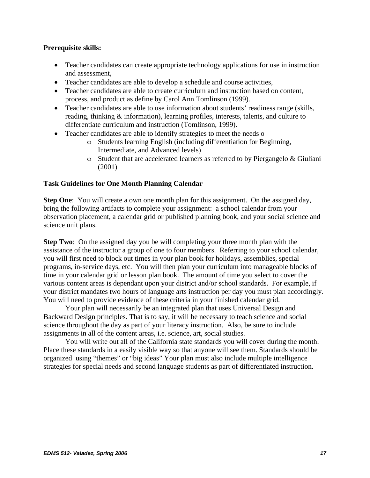# **Prerequisite skills:**

- Teacher candidates can create appropriate technology applications for use in instruction and assessment,
- Teacher candidates are able to develop a schedule and course activities,
- Teacher candidates are able to create curriculum and instruction based on content, process, and product as define by Carol Ann Tomlinson (1999).
- Teacher candidates are able to use information about students' readiness range (skills, reading, thinking & information), learning profiles, interests, talents, and culture to differentiate curriculum and instruction (Tomlinson, 1999).
- Teacher candidates are able to identify strategies to meet the needs o
	- o Students learning English (including differentiation for Beginning, Intermediate, and Advanced levels)
	- o Student that are accelerated learners as referred to by Piergangelo & Giuliani (2001)

# **Task Guidelines for One Month Planning Calendar**

**Step One**: You will create a own one month plan for this assignment. On the assigned day, bring the following artifacts to complete your assignment: a school calendar from your observation placement, a calendar grid or published planning book, and your social science and science unit plans.

**Step Two**: On the assigned day you be will completing your three month plan with the assistance of the instructor a group of one to four members. Referring to your school calendar, you will first need to block out times in your plan book for holidays, assemblies, special programs, in-service days, etc. You will then plan your curriculum into manageable blocks of time in your calendar grid or lesson plan book. The amount of time you select to cover the various content areas is dependant upon your district and/or school standards. For example, if your district mandates two hours of language arts instruction per day you must plan accordingly. You will need to provide evidence of these criteria in your finished calendar grid.

 Your plan will necessarily be an integrated plan that uses Universal Design and Backward Design principles. That is to say, it will be necessary to teach science and social science throughout the day as part of your literacy instruction. Also, be sure to include assignments in all of the content areas, i.e. science, art, social studies.

 You will write out all of the California state standards you will cover during the month. Place these standards in a easily visible way so that anyone will see them. Standards should be organized using "themes" or "big ideas" Your plan must also include multiple intelligence strategies for special needs and second language students as part of differentiated instruction.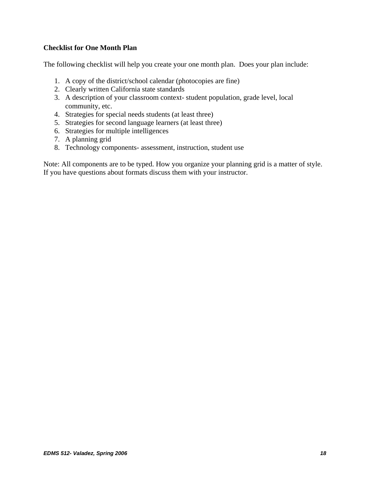# **Checklist for One Month Plan**

The following checklist will help you create your one month plan. Does your plan include:

- 1. A copy of the district/school calendar (photocopies are fine)
- 2. Clearly written California state standards
- 3. A description of your classroom context- student population, grade level, local community, etc.
- 4. Strategies for special needs students (at least three)
- 5. Strategies for second language learners (at least three)
- 6. Strategies for multiple intelligences
- 7. A planning grid
- 8. Technology components- assessment, instruction, student use

Note: All components are to be typed. How you organize your planning grid is a matter of style. If you have questions about formats discuss them with your instructor.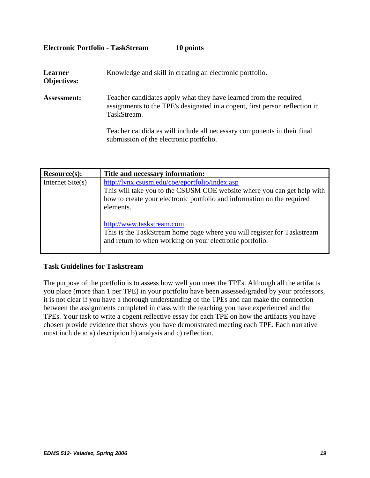| Learner<br><b>Objectives:</b> | Knowledge and skill in creating an electronic portfolio.                                                                                                        |
|-------------------------------|-----------------------------------------------------------------------------------------------------------------------------------------------------------------|
| <b>Assessment:</b>            | Teacher candidates apply what they have learned from the required<br>assignments to the TPE's designated in a cogent, first person reflection in<br>TaskStream. |
|                               | Teacher candidates will include all necessary components in their final<br>submission of the electronic portfolio.                                              |

**Electronic Portfolio - TaskStream 10 points** 

| Resource(s):       | Title and necessary information:                                                                                                                                                                                                                                                                                                                                                      |
|--------------------|---------------------------------------------------------------------------------------------------------------------------------------------------------------------------------------------------------------------------------------------------------------------------------------------------------------------------------------------------------------------------------------|
| Internet $Site(s)$ | http://lynx.csusm.edu/coe/eportfolio/index.asp<br>This will take you to the CSUSM COE website where you can get help with<br>how to create your electronic portfolio and information on the required<br>elements.<br>http://www.taskstream.com<br>This is the TaskStream home page where you will register for Taskstream<br>and return to when working on your electronic portfolio. |

# **Task Guidelines for Taskstream**

The purpose of the portfolio is to assess how well you meet the TPEs. Although all the artifacts you place (more than 1 per TPE) in your portfolio have been assessed/graded by your professors, it is not clear if you have a thorough understanding of the TPEs and can make the connection between the assignments completed in class with the teaching you have experienced and the TPEs. Your task to write a cogent reflective essay for each TPE on how the artifacts you have chosen provide evidence that shows you have demonstrated meeting each TPE. Each narrative must include a: a) description b) analysis and c) reflection.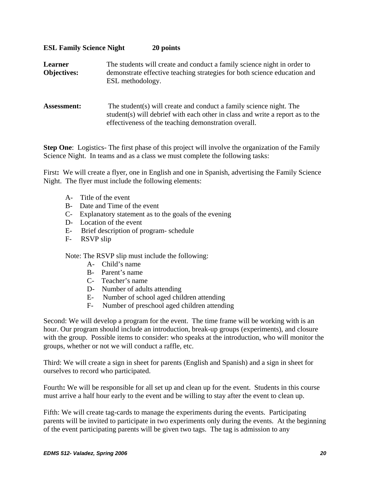# **ESL Family Science Night 20 points**

| Learner<br><b>Objectives:</b> | The students will create and conduct a family science night in order to<br>demonstrate effective teaching strategies for both science education and<br>ESL methodology.                                      |
|-------------------------------|--------------------------------------------------------------------------------------------------------------------------------------------------------------------------------------------------------------|
| <b>Assessment:</b>            | The student (s) will create and conduct a family science night. The<br>student(s) will debrief with each other in class and write a report as to the<br>effectiveness of the teaching demonstration overall. |

**Step One:** Logistics- The first phase of this project will involve the organization of the Family Science Night. In teams and as a class we must complete the following tasks:

First: We will create a flyer, one in English and one in Spanish, advertising the Family Science Night. The flyer must include the following elements:

- A- Title of the event
- B- Date and Time of the event
- C- Explanatory statement as to the goals of the evening
- D- Location of the event
- E- Brief description of program- schedule
- F- RSVP slip

Note: The RSVP slip must include the following:

- A- Child's name
- B- Parent's name
- C- Teacher's name
- D- Number of adults attending
- E- Number of school aged children attending
- F- Number of preschool aged children attending

Second: We will develop a program for the event. The time frame will be working with is an hour. Our program should include an introduction, break-up groups (experiments), and closure with the group. Possible items to consider: who speaks at the introduction, who will monitor the groups, whether or not we will conduct a raffle, etc.

Third: We will create a sign in sheet for parents (English and Spanish) and a sign in sheet for ourselves to record who participated.

Fourth**:** We will be responsible for all set up and clean up for the event. Students in this course must arrive a half hour early to the event and be willing to stay after the event to clean up.

Fifth: We will create tag-cards to manage the experiments during the events. Participating parents will be invited to participate in two experiments only during the events. At the beginning of the event participating parents will be given two tags. The tag is admission to any